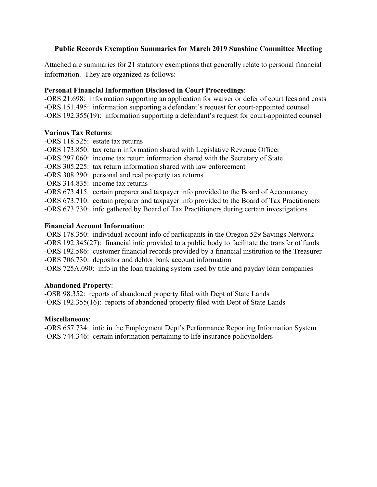## **Public Records Exemption Summaries for March 2019 Sunshine Committee Meeting**

Attached are summaries for 21 statutory exemptions that generally relate to personal financial information. They are organized as follows:

### **Personal Financial Information Disclosed in Court Proceedings**:

-ORS 21.698: information supporting an application for waiver or defer of court fees and costs -ORS 151.495: information supporting a defendant's request for court-appointed counsel -ORS 192.355(19):information supporting a defendant's request for court-appointed counsel

### **Various Tax Returns**:

- -ORS 118.525: estate tax returns
- -ORS 173.850: tax return information shared with Legislative Revenue Officer
- -ORS 297.060: income tax return information shared with the Secretary of State
- -ORS 305.225: tax return information shared with law enforcement
- -ORS 308.290: personal and real property tax returns
- -ORS 314.835: income tax returns

-ORS 673.415: certain preparer and taxpayer info provided to the Board of Accountancy

-ORS 673.710: certain preparer and taxpayer info provided to the Board of Tax Practitioners

-ORS 673.730: info gathered by Board of Tax Practitioners during certain investigations

### **Financial Account Information**:

-ORS 178.350: individual account info of participants in the Oregon 529 Savings Network -ORS 192.345(27): financial info provided to a public body to facilitate the transfer of funds -ORS 192.586: customer financial records provided by a financial institution to the Treasurer -ORS 706.730: depositor and debtor bank account information

-ORS 725A.090: info in the loan tracking system used by title and payday loan companies

### **Abandoned Property**:

-OSR 98.352: reports of abandoned property filed with Dept of State Lands -ORS 192.355(16): reports of abandoned property filed with Dept of State Lands

### **Miscellaneous**:

-ORS 657.734: info in the Employment Dept's Performance Reporting Information System -ORS 744.346: certain information pertaining to life insurance policyholders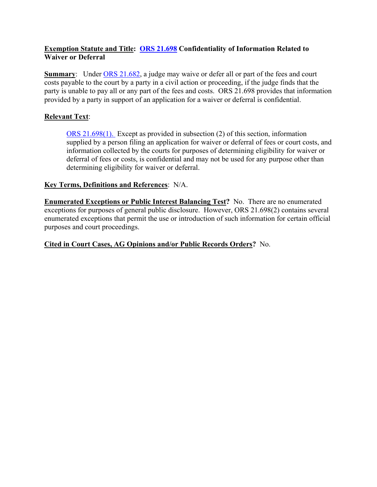### **Exemption Statute and Title: [ORS 21.698](https://www.oregonlaws.org/ors/21.698) Confidentiality of Information Related to Waiver or Deferral**

**Summary:** Under [ORS 21.682,](https://www.oregonlaws.org/ors/21.682) a judge may waive or defer all or part of the fees and court costs payable to the court by a party in a civil action or proceeding, if the judge finds that the party is unable to pay all or any part of the fees and costs. ORS 21.698 provides that information provided by a party in support of an application for a waiver or deferral is confidential.

## **Relevant Text**:

[ORS 21.698\(1\).](https://www.oregonlaws.org/ors/21.698) Except as provided in subsection (2) of this section, information supplied by a person filing an application for waiver or deferral of fees or court costs, and information collected by the courts for purposes of determining eligibility for waiver or deferral of fees or costs, is confidential and may not be used for any purpose other than determining eligibility for waiver or deferral.

### **Key Terms, Definitions and References**: N/A.

**Enumerated Exceptions or Public Interest Balancing Test?** No. There are no enumerated exceptions for purposes of general public disclosure. However, ORS 21.698(2) contains several enumerated exceptions that permit the use or introduction of such information for certain official purposes and court proceedings.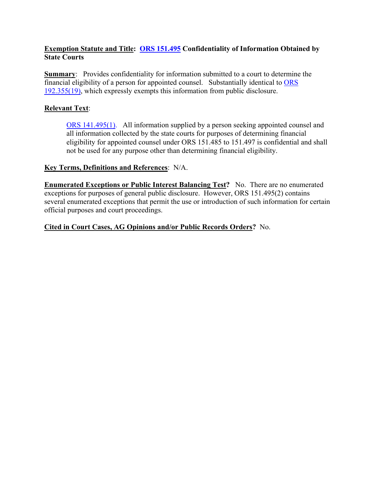### **Exemption Statute and Title: [ORS 151.495](https://www.oregonlaws.org/ors/151.495) Confidentiality of Information Obtained by State Courts**

**Summary:** Provides confidentiality for information submitted to a court to determine the financial eligibility of a person for appointed counsel. Substantially identical to [ORS](https://www.oregonlaws.org/ors/192.355)  [192.355\(19\),](https://www.oregonlaws.org/ors/192.355) which expressly exempts this information from public disclosure.

## **Relevant Text**:

[ORS 141.495\(1\).](https://www.oregonlaws.org/ors/151.495) All information supplied by a person seeking appointed counsel and all information collected by the state courts for purposes of determining financial eligibility for appointed counsel under ORS 151.485 to 151.497 is confidential and shall not be used for any purpose other than determining financial eligibility.

### **Key Terms, Definitions and References**: N/A.

**Enumerated Exceptions or Public Interest Balancing Test?** No. There are no enumerated exceptions for purposes of general public disclosure. However, ORS 151.495(2) contains several enumerated exceptions that permit the use or introduction of such information for certain official purposes and court proceedings.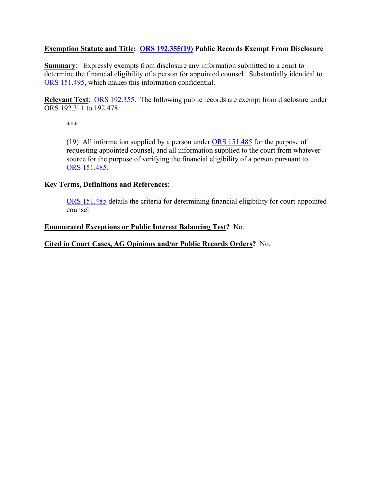#### **Exemption Statute and Title: [ORS 192.355\(19\)](https://www.oregonlaws.org/ors/192.355) Public Records Exempt From Disclosure**

**Summary:** Expressly exempts from disclosure any information submitted to a court to determine the financial eligibility of a person for appointed counsel. Substantially identical to [ORS 151.495,](https://www.oregonlaws.org/ors/151.495) which makes this information confidential.

**Relevant Text**: [ORS 192.355.](https://www.oregonlaws.org/ors/192.355) The following public records are exempt from disclosure under ORS 192.311 to 192.478:

\*\*\*

(19) All information supplied by a person under [ORS 151.485](https://www.oregonlaws.org/ors/151.485) for the purpose of requesting appointed counsel, and all information supplied to the court from whatever source for the purpose of verifying the financial eligibility of a person pursuant to [ORS 151.485.](https://www.oregonlaws.org/ors/151.485)

#### **Key Terms, Definitions and References**:

[ORS 151.485](https://www.oregonlaws.org/ors/151.485) details the criteria for determining financial eligibility for court-appointed counsel.

#### **Enumerated Exceptions or Public Interest Balancing Test?** No.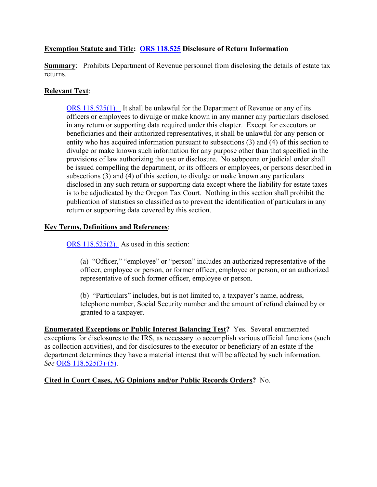## **Exemption Statute and Title: [ORS 118.525](https://www.oregonlaws.org/ors/118.525) Disclosure of Return Information**

**Summary:** Prohibits Department of Revenue personnel from disclosing the details of estate tax returns.

## **Relevant Text**:

[ORS 118.525\(1\).](https://www.oregonlaws.org/ors/118.525) It shall be unlawful for the Department of Revenue or any of its officers or employees to divulge or make known in any manner any particulars disclosed in any return or supporting data required under this chapter. Except for executors or beneficiaries and their authorized representatives, it shall be unlawful for any person or entity who has acquired information pursuant to subsections (3) and (4) of this section to divulge or make known such information for any purpose other than that specified in the provisions of law authorizing the use or disclosure. No subpoena or judicial order shall be issued compelling the department, or its officers or employees, or persons described in subsections (3) and (4) of this section, to divulge or make known any particulars disclosed in any such return or supporting data except where the liability for estate taxes is to be adjudicated by the Oregon Tax Court. Nothing in this section shall prohibit the publication of statistics so classified as to prevent the identification of particulars in any return or supporting data covered by this section.

### **Key Terms, Definitions and References**:

[ORS 118.525\(2\).](https://www.oregonlaws.org/ors/118.525) As used in this section:

(a) "Officer," "employee" or "person" includes an authorized representative of the officer, employee or person, or former officer, employee or person, or an authorized representative of such former officer, employee or person.

(b) "Particulars" includes, but is not limited to, a taxpayer's name, address, telephone number, Social Security number and the amount of refund claimed by or granted to a taxpayer.

**Enumerated Exceptions or Public Interest Balancing Test?** Yes. Several enumerated exceptions for disclosures to the IRS, as necessary to accomplish various official functions (such as collection activities), and for disclosures to the executor or beneficiary of an estate if the department determines they have a material interest that will be affected by such information. *See* [ORS 118.525\(3\)-\(5\).](https://www.oregonlaws.org/ors/118.525)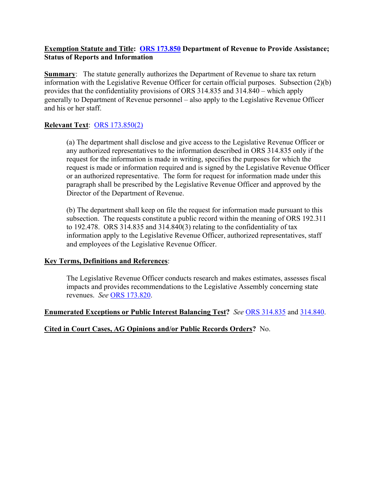#### **Exemption Statute and Title: [ORS 173.850](https://www.oregonlaws.org/ors/173.850) Department of Revenue to Provide Assistance; Status of Reports and Information**

**Summary:** The statute generally authorizes the Department of Revenue to share tax return information with the Legislative Revenue Officer for certain official purposes. Subsection (2)(b) provides that the confidentiality provisions of ORS 314.835 and 314.840 – which apply generally to Department of Revenue personnel – also apply to the Legislative Revenue Officer and his or her staff.

## **Relevant Text**: [ORS 173.850\(2\)](https://www.oregonlaws.org/ors/173.850)

(a) The department shall disclose and give access to the Legislative Revenue Officer or any authorized representatives to the information described in ORS 314.835 only if the request for the information is made in writing, specifies the purposes for which the request is made or information required and is signed by the Legislative Revenue Officer or an authorized representative. The form for request for information made under this paragraph shall be prescribed by the Legislative Revenue Officer and approved by the Director of the Department of Revenue.

(b) The department shall keep on file the request for information made pursuant to this subsection. The requests constitute a public record within the meaning of ORS 192.311 to 192.478. ORS 314.835 and 314.840(3) relating to the confidentiality of tax information apply to the Legislative Revenue Officer, authorized representatives, staff and employees of the Legislative Revenue Officer.

### **Key Terms, Definitions and References**:

The Legislative Revenue Officer conducts research and makes estimates, assesses fiscal impacts and provides recommendations to the Legislative Assembly concerning state revenues. *See* [ORS 173.820.](https://www.oregonlaws.org/ors/173.820)

**Enumerated Exceptions or Public Interest Balancing Test?** *See* [ORS 314.835](https://www.oregonlaws.org/ors/314.835) and [314.840.](https://www.oregonlaws.org/ors/314.840)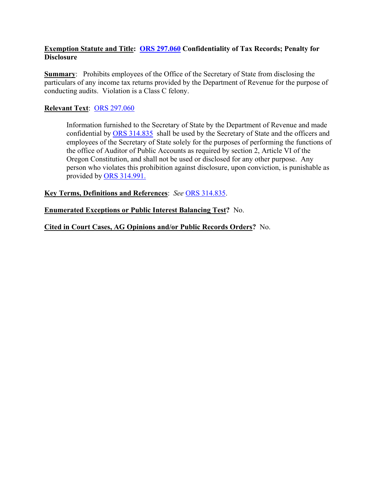#### **Exemption Statute and Title: [ORS 297.060](https://www.oregonlaws.org/ors/297.060) Confidentiality of Tax Records; Penalty for Disclosure**

**Summary:** Prohibits employees of the Office of the Secretary of State from disclosing the particulars of any income tax returns provided by the Department of Revenue for the purpose of conducting audits. Violation is a Class C felony.

### **Relevant Text**: [ORS 297.060](https://www.oregonlaws.org/ors/297.060)

Information furnished to the Secretary of State by the Department of Revenue and made confidential by [ORS 314.835](https://www.oregonlaws.org/ors/314.835) shall be used by the Secretary of State and the officers and employees of the Secretary of State solely for the purposes of performing the functions of the office of Auditor of Public Accounts as required by section 2, Article VI of the Oregon Constitution, and shall not be used or disclosed for any other purpose. Any person who violates this prohibition against disclosure, upon conviction, is punishable as provided by [ORS 314.991.](https://www.oregonlaws.org/ors/314.991)

**Key Terms, Definitions and References**: *See* [ORS 314.835.](https://www.oregonlaws.org/ors/314.835)

**Enumerated Exceptions or Public Interest Balancing Test?** No.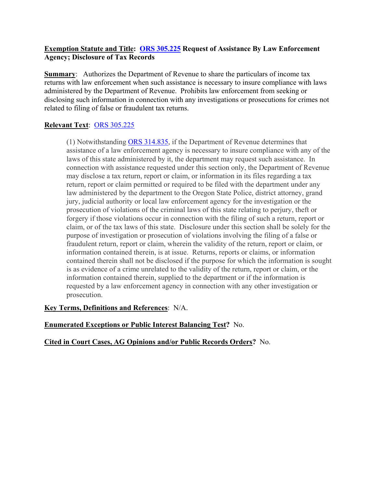#### **Exemption Statute and Title: [ORS 305.225](https://www.oregonlaws.org/ors/305.225) Request of Assistance By Law Enforcement Agency; Disclosure of Tax Records**

**Summary:** Authorizes the Department of Revenue to share the particulars of income tax returns with law enforcement when such assistance is necessary to insure compliance with laws administered by the Department of Revenue. Prohibits law enforcement from seeking or disclosing such information in connection with any investigations or prosecutions for crimes not related to filing of false or fraudulent tax returns.

# **Relevant Text**: [ORS 305.225](https://www.oregonlaws.org/ors/305.225)

(1) Notwithstanding [ORS 314.835,](https://www.oregonlaws.org/ors/314.835) if the Department of Revenue determines that assistance of a law enforcement agency is necessary to insure compliance with any of the laws of this state administered by it, the department may request such assistance. In connection with assistance requested under this section only, the Department of Revenue may disclose a tax return, report or claim, or information in its files regarding a tax return, report or claim permitted or required to be filed with the department under any law administered by the department to the Oregon State Police, district attorney, grand jury, judicial authority or local law enforcement agency for the investigation or the prosecution of violations of the criminal laws of this state relating to perjury, theft or forgery if those violations occur in connection with the filing of such a return, report or claim, or of the tax laws of this state. Disclosure under this section shall be solely for the purpose of investigation or prosecution of violations involving the filing of a false or fraudulent return, report or claim, wherein the validity of the return, report or claim, or information contained therein, is at issue. Returns, reports or claims, or information contained therein shall not be disclosed if the purpose for which the information is sought is as evidence of a crime unrelated to the validity of the return, report or claim, or the information contained therein, supplied to the department or if the information is requested by a law enforcement agency in connection with any other investigation or prosecution.

**Key Terms, Definitions and References**: N/A.

### **Enumerated Exceptions or Public Interest Balancing Test?** No.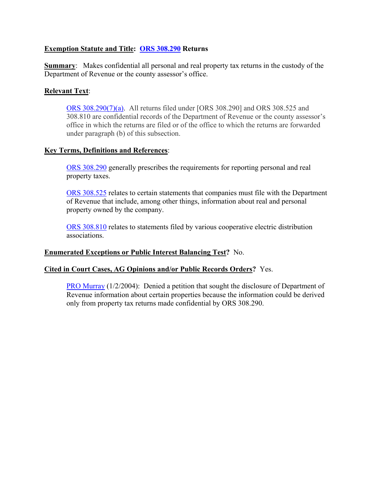#### **Exemption Statute and Title: [ORS 308.290](https://www.oregonlaws.org/ors/308.290) Returns**

**Summary**: Makes confidential all personal and real property tax returns in the custody of the Department of Revenue or the county assessor's office.

#### **Relevant Text**:

[ORS 308.290\(7\)\(a\).](https://www.oregonlaws.org/ors/308.290) All returns filed under [ORS 308.290] and ORS 308.525 and 308.810 are confidential records of the Department of Revenue or the county assessor's office in which the returns are filed or of the office to which the returns are forwarded under paragraph (b) of this subsection.

#### **Key Terms, Definitions and References**:

[ORS 308.290](https://www.oregonlaws.org/ors/308.290) generally prescribes the requirements for reporting personal and real property taxes.

[ORS 308.525](https://www.oregonlaws.org/ors/308.525) relates to certain statements that companies must file with the Department of Revenue that include, among other things, information about real and personal property owned by the company.

[ORS 308.810](https://www.oregonlaws.org/ors/308.810) relates to statements filed by various cooperative electric distribution associations.

#### **Enumerated Exceptions or Public Interest Balancing Test?** No.

#### **Cited in Court Cases, AG Opinions and/or Public Records Orders?** Yes.

[PRO Murray](https://cdm17027.contentdm.oclc.org/digital/collection/p17027coll2/id/1050) (1/2/2004): Denied a petition that sought the disclosure of Department of Revenue information about certain properties because the information could be derived only from property tax returns made confidential by ORS 308.290.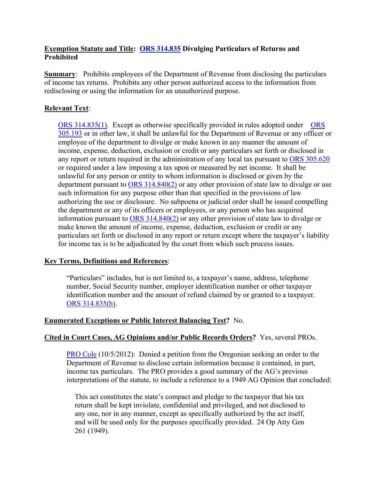#### **Exemption Statute and Title: [ORS 314.835](https://www.oregonlaws.org/ors/314.835) Divulging Particulars of Returns and Prohibited**

**Summary:** Prohibits employees of the Department of Revenue from disclosing the particulars of income tax returns. Prohibits any other person authorized access to the information from redisclosing or using the information for an unauthorized purpose.

#### **Relevant Text**:

[ORS 314.835\(1\).](https://www.oregonlaws.org/ors/314.835) Except as otherwise specifically provided in rules adopted under [ORS](https://www.oregonlaws.org/ors/305.193)  [305.193](https://www.oregonlaws.org/ors/305.193) or in other law, it shall be unlawful for the Department of Revenue or any officer or employee of the department to divulge or make known in any manner the amount of income, expense, deduction, exclusion or credit or any particulars set forth or disclosed in any report or return required in the administration of any local tax pursuant to [ORS 305.620](https://www.oregonlaws.org/ors/305.620)  or required under a law imposing a tax upon or measured by net income. It shall be unlawful for any person or entity to whom information is disclosed or given by the department pursuant to [ORS 314.840\(2\)](https://www.oregonlaws.org/ors/314.840) or any other provision of state law to divulge or use such information for any purpose other than that specified in the provisions of law authorizing the use or disclosure. No subpoena or judicial order shall be issued compelling the department or any of its officers or employees, or any person who has acquired information pursuant to [ORS 314.840\(2\)](https://www.oregonlaws.org/ors/314.840) or any other provision of state law to divulge or make known the amount of income, expense, deduction, exclusion or credit or any particulars set forth or disclosed in any report or return except where the taxpayer's liability for income tax is to be adjudicated by the court from which such process issues.

#### **Key Terms, Definitions and References**:

"Particulars" includes, but is not limited to, a taxpayer's name, address, telephone number, Social Security number, employer identification number or other taxpayer identification number and the amount of refund claimed by or granted to a taxpayer. [ORS 314.835\(b\).](https://www.oregonlaws.org/ors/314.835)

#### **Enumerated Exceptions or Public Interest Balancing Test?** No.

#### **Cited in Court Cases, AG Opinions and/or Public Records Orders?** Yes, several PROs.

[PRO Cole](https://cdm17027.contentdm.oclc.org/digital/collection/p17027coll2/id/1947) (10/5/2012): Denied a petition from the Oregonian seeking an order to the Department of Revenue to disclose certain information because it contained, in part, income tax particulars. The PRO provides a good summary of the AG's previous interpretations of the statute, to include a reference to a 1949 AG Opinion that concluded:

This act constitutes the state's compact and pledge to the taxpayer that his tax return shall be kept inviolate, confidential and privileged, and not disclosed to any one, nor in any manner, except as specifically authorized by the act itself, and will be used only for the purposes specifically provided. 24 Op Atty Gen 261 (1949).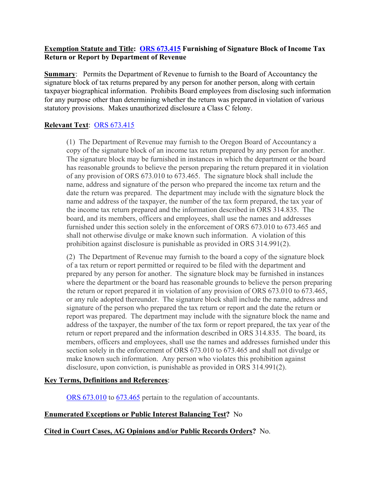#### **Exemption Statute and Title: [ORS 673.415](https://www.oregonlaws.org/ors/673.415) Furnishing of Signature Block of Income Tax Return or Report by Department of Revenue**

**Summary:** Permits the Department of Revenue to furnish to the Board of Accountancy the signature block of tax returns prepared by any person for another person, along with certain taxpayer biographical information. Prohibits Board employees from disclosing such information for any purpose other than determining whether the return was prepared in violation of various statutory provisions. Makes unauthorized disclosure a Class C felony.

# **Relevant Text**: [ORS 673.415](https://www.oregonlaws.org/ors/673.415)

(1) The Department of Revenue may furnish to the Oregon Board of Accountancy a copy of the signature block of an income tax return prepared by any person for another. The signature block may be furnished in instances in which the department or the board has reasonable grounds to believe the person preparing the return prepared it in violation of any provision of ORS 673.010 to 673.465. The signature block shall include the name, address and signature of the person who prepared the income tax return and the date the return was prepared. The department may include with the signature block the name and address of the taxpayer, the number of the tax form prepared, the tax year of the income tax return prepared and the information described in ORS 314.835. The board, and its members, officers and employees, shall use the names and addresses furnished under this section solely in the enforcement of ORS 673.010 to 673.465 and shall not otherwise divulge or make known such information. A violation of this prohibition against disclosure is punishable as provided in ORS 314.991(2).

(2) The Department of Revenue may furnish to the board a copy of the signature block of a tax return or report permitted or required to be filed with the department and prepared by any person for another. The signature block may be furnished in instances where the department or the board has reasonable grounds to believe the person preparing the return or report prepared it in violation of any provision of ORS 673.010 to 673.465, or any rule adopted thereunder. The signature block shall include the name, address and signature of the person who prepared the tax return or report and the date the return or report was prepared. The department may include with the signature block the name and address of the taxpayer, the number of the tax form or report prepared, the tax year of the return or report prepared and the information described in ORS 314.835. The board, its members, officers and employees, shall use the names and addresses furnished under this section solely in the enforcement of ORS 673.010 to 673.465 and shall not divulge or make known such information. Any person who violates this prohibition against disclosure, upon conviction, is punishable as provided in ORS 314.991(2).

### **Key Terms, Definitions and References**:

[ORS 673.010](https://www.oregonlaws.org/ors/673.010) to [673.465](https://www.oregonlaws.org/ors/673.465) pertain to the regulation of accountants.

# **Enumerated Exceptions or Public Interest Balancing Test?** No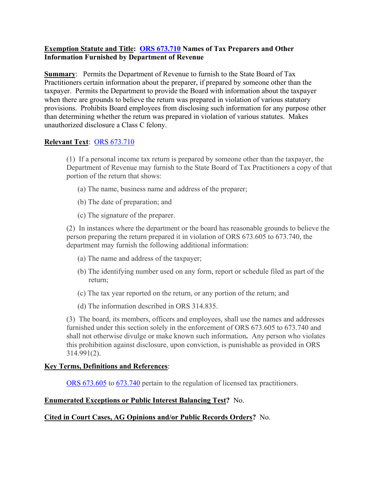#### **Exemption Statute and Title: [ORS 673.710](https://www.oregonlaws.org/ors/673.710) Names of Tax Preparers and Other Information Furnished by Department of Revenue**

**Summary:** Permits the Department of Revenue to furnish to the State Board of Tax Practitioners certain information about the preparer, if prepared by someone other than the taxpayer. Permits the Department to provide the Board with information about the taxpayer when there are grounds to believe the return was prepared in violation of various statutory provisions. Prohibits Board employees from disclosing such information for any purpose other than determining whether the return was prepared in violation of various statutes. Makes unauthorized disclosure a Class C felony.

## **Relevant Text**: [ORS 673.710](https://www.oregonlaws.org/ors/673.710)

(1) If a personal income tax return is prepared by someone other than the taxpayer, the Department of Revenue may furnish to the State Board of Tax Practitioners a copy of that portion of the return that shows:

- (a) The name, business name and address of the preparer;
- (b) The date of preparation; and
- (c) The signature of the preparer.

(2) In instances where the department or the board has reasonable grounds to believe the person preparing the return prepared it in violation of ORS 673.605 to 673.740, the department may furnish the following additional information:

- (a) The name and address of the taxpayer;
- (b) The identifying number used on any form, report or schedule filed as part of the return;
- (c) The tax year reported on the return, or any portion of the return; and
- (d) The information described in ORS 314.835.

(3) The board, its members, officers and employees, shall use the names and addresses furnished under this section solely in the enforcement of ORS 673.605 to 673.740 and shall not otherwise divulge or make known such information**.** Any person who violates this prohibition against disclosure, upon conviction, is punishable as provided in ORS 314.991(2).

#### **Key Terms, Definitions and References**:

[ORS 673.605](https://www.oregonlaws.org/ors/673.605) to [673.740](https://www.oregonlaws.org/ors/673.740) pertain to the regulation of licensed tax practitioners.

### **Enumerated Exceptions or Public Interest Balancing Test?** No.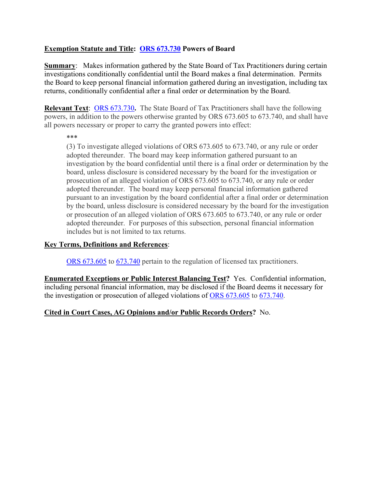## **Exemption Statute and Title: [ORS 673.730](https://www.oregonlaws.org/ors/673.730) Powers of Board**

**Summary:** Makes information gathered by the State Board of Tax Practitioners during certain investigations conditionally confidential until the Board makes a final determination. Permits the Board to keep personal financial information gathered during an investigation, including tax returns, conditionally confidential after a final order or determination by the Board.

**Relevant Text**: [ORS 673.730](https://www.oregonlaws.org/ors/673.730)**.** The State Board of Tax Practitioners shall have the following powers, in addition to the powers otherwise granted by ORS 673.605 to 673.740, and shall have all powers necessary or proper to carry the granted powers into effect:

\*\*\*

(3) To investigate alleged violations of ORS 673.605 to 673.740, or any rule or order adopted thereunder. The board may keep information gathered pursuant to an investigation by the board confidential until there is a final order or determination by the board, unless disclosure is considered necessary by the board for the investigation or prosecution of an alleged violation of ORS 673.605 to 673.740, or any rule or order adopted thereunder. The board may keep personal financial information gathered pursuant to an investigation by the board confidential after a final order or determination by the board, unless disclosure is considered necessary by the board for the investigation or prosecution of an alleged violation of ORS 673.605 to 673.740, or any rule or order adopted thereunder. For purposes of this subsection, personal financial information includes but is not limited to tax returns.

### **Key Terms, Definitions and References**:

[ORS 673.605](https://www.oregonlaws.org/ors/673.605) to [673.740](https://www.oregonlaws.org/ors/673.740) pertain to the regulation of licensed tax practitioners.

**Enumerated Exceptions or Public Interest Balancing Test?** Yes. Confidential information, including personal financial information, may be disclosed if the Board deems it necessary for the investigation or prosecution of alleged violations of [ORS 673.605](https://www.oregonlaws.org/ors/673.605) to [673.740.](https://www.oregonlaws.org/ors/673.740)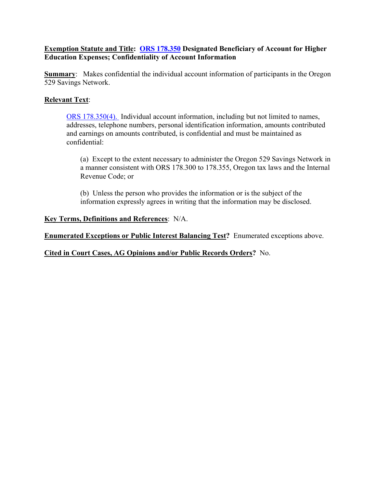#### **Exemption Statute and Title: [ORS 178.350](https://www.oregonlaws.org/ors/178.350) Designated Beneficiary of Account for Higher Education Expenses; Confidentiality of Account Information**

**Summary:** Makes confidential the individual account information of participants in the Oregon 529 Savings Network.

### **Relevant Text**:

[ORS 178.350\(4\).](https://www.oregonlaws.org/ors/178.350) Individual account information, including but not limited to names, addresses, telephone numbers, personal identification information, amounts contributed and earnings on amounts contributed, is confidential and must be maintained as confidential:

(a) Except to the extent necessary to administer the Oregon 529 Savings Network in a manner consistent with ORS 178.300 to 178.355, Oregon tax laws and the Internal Revenue Code; or

(b) Unless the person who provides the information or is the subject of the information expressly agrees in writing that the information may be disclosed.

#### **Key Terms, Definitions and References**: N/A.

**Enumerated Exceptions or Public Interest Balancing Test?** Enumerated exceptions above.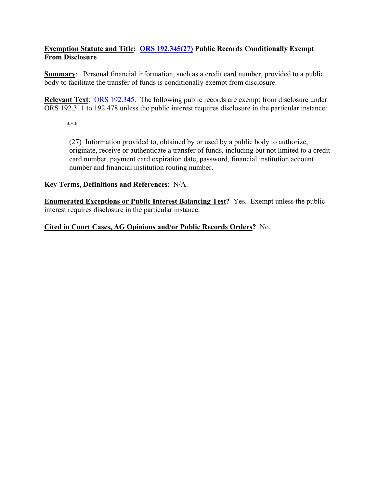## **Exemption Statute and Title: [ORS 192.345\(27\)](https://www.oregonlaws.org/ors/192.345) Public Records Conditionally Exempt From Disclosure**

**Summary:** Personal financial information, such as a credit card number, provided to a public body to facilitate the transfer of funds is conditionally exempt from disclosure.

**Relevant Text**: [ORS 192.345.](https://www.oregonlaws.org/ors/192.345) The following public records are exempt from disclosure under ORS 192.311 to 192.478 unless the public interest requires disclosure in the particular instance:

\*\*\*

(27) Information provided to, obtained by or used by a public body to authorize, originate, receive or authenticate a transfer of funds, including but not limited to a credit card number, payment card expiration date, password, financial institution account number and financial institution routing number.

### **Key Terms, Definitions and References**: N/A.

**Enumerated Exceptions or Public Interest Balancing Test?** Yes. Exempt unless the public interest requires disclosure in the particular instance.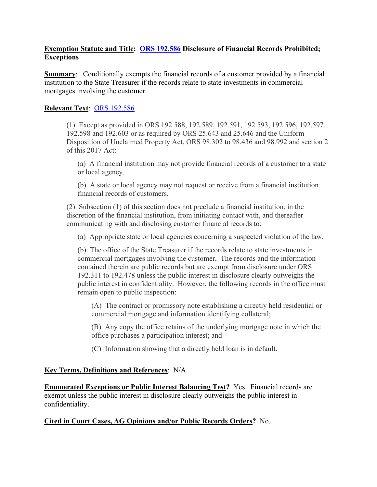### **Exemption Statute and Title: [ORS 192.586](https://www.oregonlaws.org/ors/192.586) Disclosure of Financial Records Prohibited; Exceptions**

**Summary:** Conditionally exempts the financial records of a customer provided by a financial institution to the State Treasurer if the records relate to state investments in commercial mortgages involving the customer.

#### **Relevant Text**: [ORS 192.586](https://www.oregonlaws.org/ors/192.586)

(1) Except as provided in ORS 192.588, 192.589, 192.591, 192.593, 192.596, 192.597, 192.598 and 192.603 or as required by ORS 25.643 and 25.646 and the Uniform Disposition of Unclaimed Property Act, ORS 98.302 to 98.436 and 98.992 and section 2 of this 2017 Act:

(a) A financial institution may not provide financial records of a customer to a state or local agency.

(b) A state or local agency may not request or receive from a financial institution financial records of customers.

(2) Subsection (1) of this section does not preclude a financial institution, in the discretion of the financial institution, from initiating contact with, and thereafter communicating with and disclosing customer financial records to:

(a) Appropriate state or local agencies concerning a suspected violation of the law.

(b) The office of the State Treasurer if the records relate to state investments in commercial mortgages involving the customer**.** The records and the information contained therein are public records but are exempt from disclosure under ORS 192.311 to 192.478 unless the public interest in disclosure clearly outweighs the public interest in confidentiality. However, the following records in the office must remain open to public inspection:

(A) The contract or promissory note establishing a directly held residential or commercial mortgage and information identifying collateral;

(B) Any copy the office retains of the underlying mortgage note in which the office purchases a participation interest; and

(C) Information showing that a directly held loan is in default.

#### **Key Terms, Definitions and References**: N/A.

**Enumerated Exceptions or Public Interest Balancing Test?** Yes. Financial records are exempt unless the public interest in disclosure clearly outweighs the public interest in confidentiality.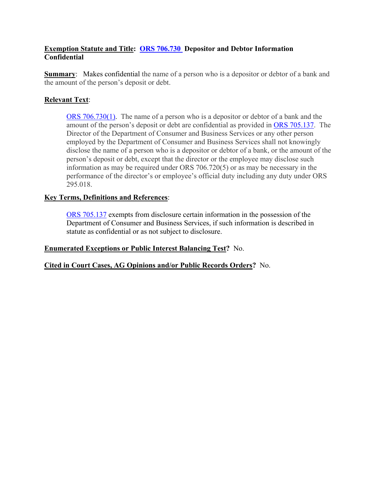### **Exemption Statute and Title: [ORS 706.730](https://www.oregonlaws.org/ors/706.730) Depositor and Debtor Information Confidential**

**Summary:** Makes confidential the name of a person who is a depositor or debtor of a bank and the amount of the person's deposit or debt.

## **Relevant Text**:

[ORS 706.730\(1\).](https://www.oregonlaws.org/ors/706.730) The name of a person who is a depositor or debtor of a bank and the amount of the person's deposit or debt are confidential as provided in [ORS 705.137.](https://www.oregonlaws.org/ors/705.137) The Director of the Department of Consumer and Business Services or any other person employed by the Department of Consumer and Business Services shall not knowingly disclose the name of a person who is a depositor or debtor of a bank, or the amount of the person's deposit or debt, except that the director or the employee may disclose such information as may be required under ORS 706.720(5) or as may be necessary in the performance of the director's or employee's official duty including any duty under ORS 295.018.

#### **Key Terms, Definitions and References**:

[ORS 705.137](https://www.oregonlaws.org/ors/705.137) exempts from disclosure certain information in the possession of the Department of Consumer and Business Services, if such information is described in statute as confidential or as not subject to disclosure.

**Enumerated Exceptions or Public Interest Balancing Test?** No.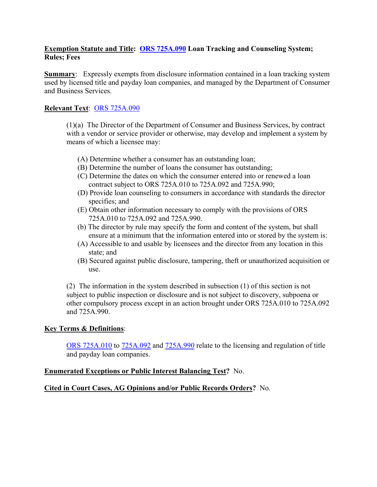#### **Exemption Statute and Title: [ORS 725A.090](https://www.oregonlaws.org/ors/725A.090) Loan Tracking and Counseling System; Rules; Fees**

**Summary:** Expressly exempts from disclosure information contained in a loan tracking system used by licensed title and payday loan companies, and managed by the Department of Consumer and Business Services.

#### **Relevant Text**: [ORS 725A.090](https://www.oregonlaws.org/ors/725A.090)

(1)(a) The Director of the Department of Consumer and Business Services, by contract with a vendor or service provider or otherwise, may develop and implement a system by means of which a licensee may:

- (A) Determine whether a consumer has an outstanding loan;
- (B) Determine the number of loans the consumer has outstanding;
- (C) Determine the dates on which the consumer entered into or renewed a loan contract subject to ORS 725A.010 to 725A.092 and 725A.990;
- (D) Provide loan counseling to consumers in accordance with standards the director specifies; and
- (E) Obtain other information necessary to comply with the provisions of ORS 725A.010 to 725A.092 and 725A.990.
- (b) The director by rule may specify the form and content of the system, but shall ensure at a minimum that the information entered into or stored by the system is:
- (A) Accessible to and usable by licensees and the director from any location in this state; and
- (B) Secured against public disclosure, tampering, theft or unauthorized acquisition or use.

(2) The information in the system described in subsection (1) of this section is not subject to public inspection or disclosure and is not subject to discovery, subpoena or other compulsory process except in an action brought under ORS 725A.010 to 725A.092 and 725A.990.

#### **Key Terms & Definitions**:

[ORS 725A.010](https://www.oregonlaws.org/ors/725A.010) to [725A.092](https://www.oregonlaws.org/ors/725A.092) and [725A.990](https://www.oregonlaws.org/ors/725A.990) relate to the licensing and regulation of title and payday loan companies.

#### **Enumerated Exceptions or Public Interest Balancing Test?** No.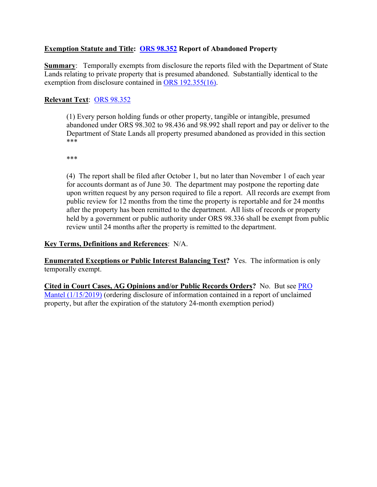### **Exemption Statute and Title: [ORS 98.352](https://www.oregonlaws.org/ors/98.352) Report of Abandoned Property**

**Summary**: Temporally exempts from disclosure the reports filed with the Department of State Lands relating to private property that is presumed abandoned. Substantially identical to the exemption from disclosure contained in [ORS 192.355\(16\).](https://www.oregonlaws.org/ors/192.355)

## **Relevant Text**: [ORS 98.352](https://www.oregonlaws.org/ors/98.352)

(1) Every person holding funds or other property, tangible or intangible, presumed abandoned under ORS 98.302 to 98.436 and 98.992 shall report and pay or deliver to the Department of State Lands all property presumed abandoned as provided in this section \*\*\*

\*\*\*

(4) The report shall be filed after October 1, but no later than November 1 of each year for accounts dormant as of June 30. The department may postpone the reporting date upon written request by any person required to file a report. All records are exempt from public review for 12 months from the time the property is reportable and for 24 months after the property has been remitted to the department. All lists of records or property held by a government or public authority under ORS 98.336 shall be exempt from public review until 24 months after the property is remitted to the department.

### **Key Terms, Definitions and References**: N/A.

**Enumerated Exceptions or Public Interest Balancing Test?** Yes. The information is only temporally exempt.

**Cited in Court Cases, AG Opinions and/or Public Records Orders?** No. But see [PRO](https://cdm17027.contentdm.oclc.org/digital/collection/p17027coll2/id/2165/rec/5)  [Mantel \(1/15/2019\)](https://cdm17027.contentdm.oclc.org/digital/collection/p17027coll2/id/2165/rec/5) (ordering disclosure of information contained in a report of unclaimed property, but after the expiration of the statutory 24-month exemption period)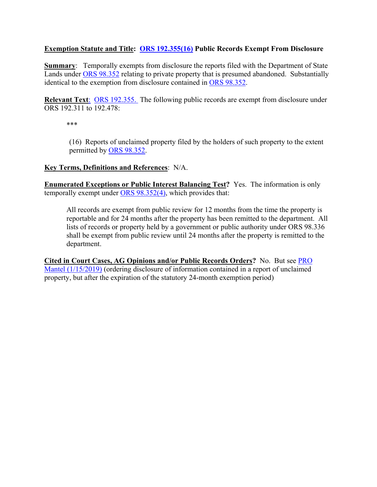### **Exemption Statute and Title: [ORS 192.355\(16\)](https://www.oregonlaws.org/ors/192.355) Public Records Exempt From Disclosure**

**Summary**: Temporally exempts from disclosure the reports filed with the Department of State Lands under [ORS 98.352](https://www.oregonlaws.org/ors/98.352) relating to private property that is presumed abandoned. Substantially identical to the exemption from disclosure contained in [ORS 98.352.](https://www.oregonlaws.org/ors/98.352)

**Relevant Text**[: ORS 192.355.](https://www.oregonlaws.org/ors/192.355) The following public records are exempt from disclosure under ORS 192.311 to 192.478:

\*\*\*

(16) Reports of unclaimed property filed by the holders of such property to the extent permitted by [ORS 98.352.](https://www.oregonlaws.org/ors/98.352)

#### **Key Terms, Definitions and References**: N/A.

**Enumerated Exceptions or Public Interest Balancing Test?** Yes. The information is only temporally exempt under [ORS 98.352\(4\),](https://www.oregonlaws.org/ors/98.352) which provides that:

All records are exempt from public review for 12 months from the time the property is reportable and for 24 months after the property has been remitted to the department. All lists of records or property held by a government or public authority under ORS 98.336 shall be exempt from public review until 24 months after the property is remitted to the department.

**Cited in Court Cases, AG Opinions and/or Public Records Orders?** No. But see [PRO](https://cdm17027.contentdm.oclc.org/digital/collection/p17027coll2/id/2165/rec/5)  [Mantel \(1/15/2019\)](https://cdm17027.contentdm.oclc.org/digital/collection/p17027coll2/id/2165/rec/5) (ordering disclosure of information contained in a report of unclaimed property, but after the expiration of the statutory 24-month exemption period)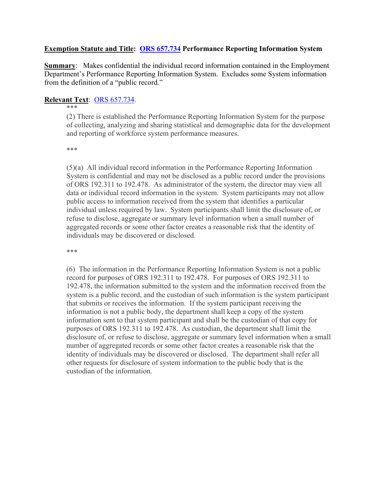#### **Exemption Statute and Title: [ORS 657.734](https://www.oregonlaws.org/ors/657.734) Performance Reporting Information System**

**Summary**: Makes confidential the individual record information contained in the Employment Department's Performance Reporting Information System. Excludes some System information from the definition of a "public record."

#### **Relevant Text**: [ORS 657.734.](https://www.oregonlaws.org/ors/657.734)

#### \*\*\*

(2) There is established the Performance Reporting Information System for the purpose of collecting, analyzing and sharing statistical and demographic data for the development and reporting of workforce system performance measures.

\*\*\*

(5)(a) All individual record information in the Performance Reporting Information System is confidential and may not be disclosed as a public record under the provisions of ORS 192.311 to 192.478. As administrator of the system, the director may view all data or individual record information in the system. System participants may not allow public access to information received from the system that identifies a particular individual unless required by law. System participants shall limit the disclosure of, or refuse to disclose, aggregate or summary level information when a small number of aggregated records or some other factor creates a reasonable risk that the identity of individuals may be discovered or disclosed.

\*\*\*

(6) The information in the Performance Reporting Information System is not a public record for purposes of ORS 192.311 to 192.478. For purposes of ORS 192.311 to 192.478, the information submitted to the system and the information received from the system is a public record, and the custodian of such information is the system participant that submits or receives the information. If the system participant receiving the information is not a public body, the department shall keep a copy of the system information sent to that system participant and shall be the custodian of that copy for purposes of ORS 192.311 to 192.478. As custodian, the department shall limit the disclosure of, or refuse to disclose, aggregate or summary level information when a small number of aggregated records or some other factor creates a reasonable risk that the identity of individuals may be discovered or disclosed. The department shall refer all other requests for disclosure of system information to the public body that is the custodian of the information.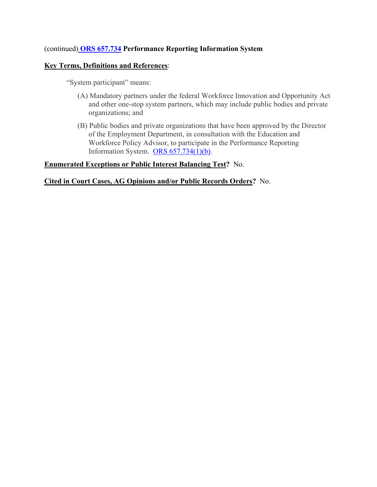### (continued) **[ORS 657.734](https://www.oregonlaws.org/ors/657.734) Performance Reporting Information System**

#### **Key Terms, Definitions and References**:

"System participant" means:

- (A) Mandatory partners under the federal Workforce Innovation and Opportunity Act and other one-stop system partners, which may include public bodies and private organizations; and
- (B) Public bodies and private organizations that have been approved by the Director of the Employment Department, in consultation with the Education and Workforce Policy Advisor, to participate in the Performance Reporting Information System. ORS  $657.734(1)(b)$ .

#### **Enumerated Exceptions or Public Interest Balancing Test?** No.